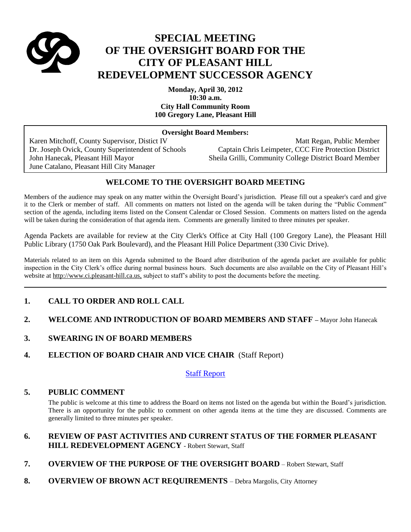

# **SPECIAL MEETING OF THE OVERSIGHT BOARD FOR THE CITY OF PLEASANT HILL REDEVELOPMENT SUCCESSOR AGENCY**

**Monday, April 30, 2012 10:30 a.m. City Hall Community Room 100 Gregory Lane, Pleasant Hill**

#### **Oversight Board Members:**

June Catalano, Pleasant Hill City Manager

Karen Mitchoff, County Supervisor, Distict IV Matt Regan, Public Member Dr. Joseph Ovick, County Superintendent of Schools Captain Chris Leimpeter, CCC Fire Protection District John Hanecak, Pleasant Hill Mayor Sheila Grilli, Community College District Board Member

## **WELCOME TO THE OVERSIGHT BOARD MEETING**

Members of the audience may speak on any matter within the Oversight Board's jurisdiction. Please fill out a speaker's card and give it to the Clerk or member of staff. All comments on matters not listed on the agenda will be taken during the "Public Comment" section of the agenda, including items listed on the Consent Calendar or Closed Session. Comments on matters listed on the agenda will be taken during the consideration of that agenda item. Comments are generally limited to three minutes per speaker.

Agenda Packets are available for review at the City Clerk's Office at City Hall (100 Gregory Lane), the Pleasant Hill Public Library (1750 Oak Park Boulevard), and the Pleasant Hill Police Department (330 Civic Drive).

Materials related to an item on this Agenda submitted to the Board after distribution of the agenda packet are available for public inspection in the City Clerk's office during normal business hours. Such documents are also available on the City of Pleasant Hill's website at http://www.ci.pleasant-hill.ca.us, subject to staff's ability to post the documents before the meeting.

# **1. CALL TO ORDER AND ROLL CALL**

# **2. WELCOME AND INTRODUCTION OF BOARD MEMBERS AND STAFF – Mayor John Hanecak**

## **3. SWEARING IN OF BOARD MEMBERS**

**4. ELECTION OF BOARD CHAIR AND VICE CHAIR** (Staff Report)

## [Staff Report](http://ca-pleasanthill.civicplus.com/DocumentCenter/Home/View/9625)

## **5. PUBLIC COMMENT**

The public is welcome at this time to address the Board on items not listed on the agenda but within the Board's jurisdiction. There is an opportunity for the public to comment on other agenda items at the time they are discussed. Comments are generally limited to three minutes per speaker.

## **6. REVIEW OF PAST ACTIVITIES AND CURRENT STATUS OF THE FORMER PLEASANT HILL REDEVELOPMENT AGENCY** - Robert Stewart, Staff

- **7. OVERVIEW OF THE PURPOSE OF THE OVERSIGHT BOARD** Robert Stewart, Staff
- **8. OVERVIEW OF BROWN ACT REQUIREMENTS** Debra Margolis, City Attorney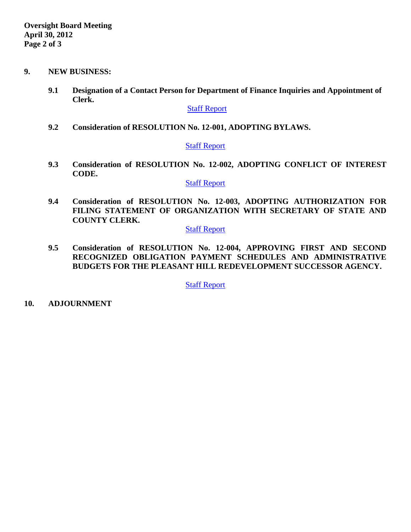- **9. NEW BUSINESS:**
	- **9.1 Designation of a Contact Person for Department of Finance Inquiries and Appointment of Clerk.**

### [Staff Report](http://ca-pleasanthill.civicplus.com/DocumentCenter/Home/View/9626)

**9.2 Consideration of RESOLUTION No. 12-001, ADOPTING BYLAWS.**

### **[Staff Report](http://ca-pleasanthill.civicplus.com/DocumentCenter/Home/View/9627)**

**9.3 Consideration of RESOLUTION No. 12-002, ADOPTING CONFLICT OF INTEREST CODE.** 

### [Staff Report](http://ca-pleasanthill.civicplus.com/DocumentCenter/Home/View/9628)

**9.4 Consideration of RESOLUTION No. 12-003, ADOPTING AUTHORIZATION FOR FILING STATEMENT OF ORGANIZATION WITH SECRETARY OF STATE AND COUNTY CLERK.** 

# [Staff Report](http://ca-pleasanthill.civicplus.com/DocumentCenter/Home/View/9629)

**9.5 Consideration of RESOLUTION No. 12-004, APPROVING FIRST AND SECOND RECOGNIZED OBLIGATION PAYMENT SCHEDULES AND ADMINISTRATIVE BUDGETS FOR THE PLEASANT HILL REDEVELOPMENT SUCCESSOR AGENCY.** 

[Staff Report](http://ca-pleasanthill.civicplus.com/DocumentCenter/Home/View/9630)

**10. ADJOURNMENT**